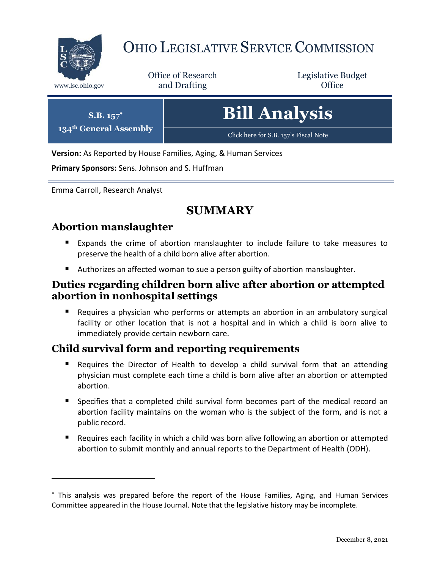

# OHIO LEGISLATIVE SERVICE COMMISSION

Office of Research www.lsc.ohio.gov **and Drafting Office** 

Legislative Budget

| $S.B. 157^*$<br>134 <sup>th</sup> General Assembly | <b>Bill Analysis</b>                  |
|----------------------------------------------------|---------------------------------------|
|                                                    | Click here for S.B. 157's Fiscal Note |

**Version:** As Reported by House Families, Aging, & Human Services

**Primary Sponsors:** Sens. Johnson and S. Huffman

Emma Carroll, Research Analyst

## **SUMMARY**

#### **Abortion manslaughter**

 $\overline{a}$ 

- Expands the crime of abortion manslaughter to include failure to take measures to preserve the health of a child born alive after abortion.
- Authorizes an affected woman to sue a person guilty of abortion manslaughter.

#### **Duties regarding children born alive after abortion or attempted abortion in nonhospital settings**

 Requires a physician who performs or attempts an abortion in an ambulatory surgical facility or other location that is not a hospital and in which a child is born alive to immediately provide certain newborn care.

#### **Child survival form and reporting requirements**

- Requires the Director of Health to develop a child survival form that an attending physician must complete each time a child is born alive after an abortion or attempted abortion.
- Specifies that a completed child survival form becomes part of the medical record an abortion facility maintains on the woman who is the subject of the form, and is not a public record.
- Requires each facility in which a child was born alive following an abortion or attempted abortion to submit monthly and annual reports to the Department of Health (ODH).

This analysis was prepared before the report of the House Families, Aging, and Human Services Committee appeared in the House Journal. Note that the legislative history may be incomplete.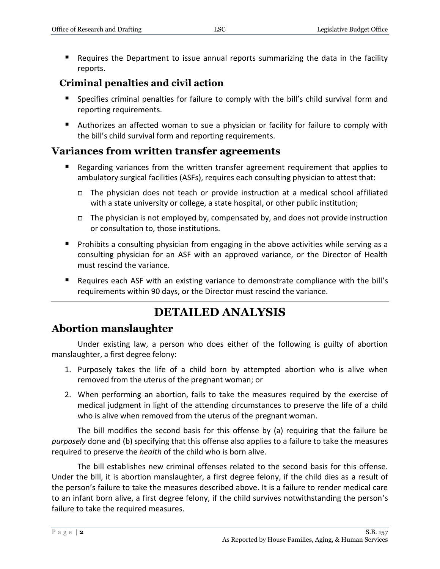Requires the Department to issue annual reports summarizing the data in the facility reports.

#### **Criminal penalties and civil action**

- Specifies criminal penalties for failure to comply with the bill's child survival form and reporting requirements.
- Authorizes an affected woman to sue a physician or facility for failure to comply with the bill's child survival form and reporting requirements.

#### **Variances from written transfer agreements**

- Regarding variances from the written transfer agreement requirement that applies to ambulatory surgical facilities (ASFs), requires each consulting physician to attest that:
	- The physician does not teach or provide instruction at a medical school affiliated with a state university or college, a state hospital, or other public institution;
	- □ The physician is not employed by, compensated by, and does not provide instruction or consultation to, those institutions.
- **Prohibits a consulting physician from engaging in the above activities while serving as a** consulting physician for an ASF with an approved variance, or the Director of Health must rescind the variance.
- Requires each ASF with an existing variance to demonstrate compliance with the bill's requirements within 90 days, or the Director must rescind the variance.

## **DETAILED ANALYSIS**

#### **Abortion manslaughter**

Under existing law, a person who does either of the following is guilty of abortion manslaughter, a first degree felony:

- 1. Purposely takes the life of a child born by attempted abortion who is alive when removed from the uterus of the pregnant woman; or
- 2. When performing an abortion, fails to take the measures required by the exercise of medical judgment in light of the attending circumstances to preserve the life of a child who is alive when removed from the uterus of the pregnant woman.

The bill modifies the second basis for this offense by (a) requiring that the failure be *purposely* done and (b) specifying that this offense also applies to a failure to take the measures required to preserve the *health* of the child who is born alive.

The bill establishes new criminal offenses related to the second basis for this offense. Under the bill, it is abortion manslaughter, a first degree felony, if the child dies as a result of the person's failure to take the measures described above. It is a failure to render medical care to an infant born alive, a first degree felony, if the child survives notwithstanding the person's failure to take the required measures.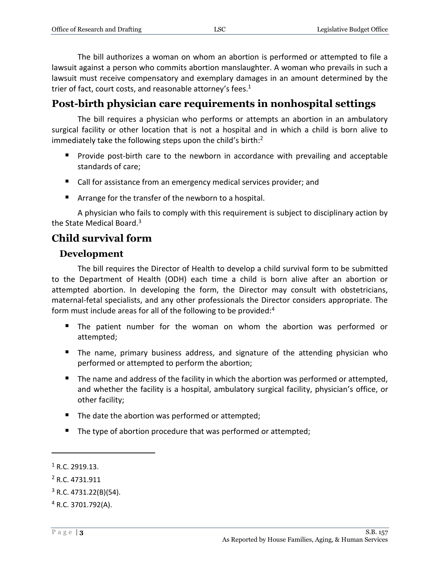The bill authorizes a woman on whom an abortion is performed or attempted to file a lawsuit against a person who commits abortion manslaughter. A woman who prevails in such a lawsuit must receive compensatory and exemplary damages in an amount determined by the trier of fact, court costs, and reasonable attorney's fees. $1$ 

## **Post-birth physician care requirements in nonhospital settings**

The bill requires a physician who performs or attempts an abortion in an ambulatory surgical facility or other location that is not a hospital and in which a child is born alive to immediately take the following steps upon the child's birth:<sup>2</sup>

- **Provide post-birth care to the newborn in accordance with prevailing and acceptable** standards of care;
- Call for assistance from an emergency medical services provider; and
- Arrange for the transfer of the newborn to a hospital.

A physician who fails to comply with this requirement is subject to disciplinary action by the State Medical Board.<sup>3</sup>

## **Child survival form**

### **Development**

The bill requires the Director of Health to develop a child survival form to be submitted to the Department of Health (ODH) each time a child is born alive after an abortion or attempted abortion. In developing the form, the Director may consult with obstetricians, maternal-fetal specialists, and any other professionals the Director considers appropriate. The form must include areas for all of the following to be provided:<sup>4</sup>

- The patient number for the woman on whom the abortion was performed or attempted;
- The name, primary business address, and signature of the attending physician who performed or attempted to perform the abortion;
- The name and address of the facility in which the abortion was performed or attempted, and whether the facility is a hospital, ambulatory surgical facility, physician's office, or other facility;
- The date the abortion was performed or attempted;
- The type of abortion procedure that was performed or attempted;

 $\overline{a}$ 

 $1 R.C. 2919.13.$ 

<sup>2</sup> R.C. 4731.911

 $3$  R.C. 4731.22(B)(54).

 $4$  R.C. 3701.792(A).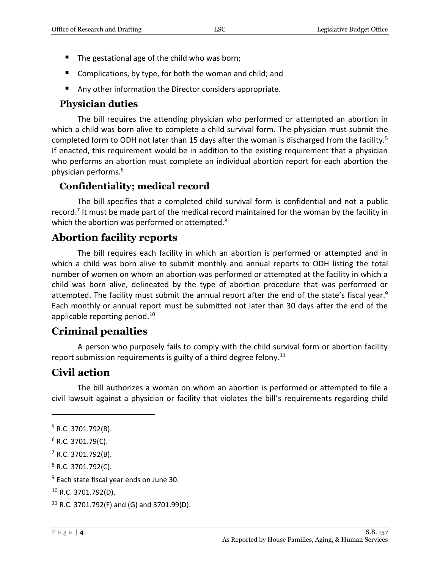- The gestational age of the child who was born;
- Complications, by type, for both the woman and child; and
- Any other information the Director considers appropriate.

#### **Physician duties**

The bill requires the attending physician who performed or attempted an abortion in which a child was born alive to complete a child survival form. The physician must submit the completed form to ODH not later than 15 days after the woman is discharged from the facility.<sup>5</sup> If enacted, this requirement would be in addition to the existing requirement that a physician who performs an abortion must complete an individual abortion report for each abortion the physician performs.<sup>6</sup>

#### **Confidentiality; medical record**

The bill specifies that a completed child survival form is confidential and not a public record.<sup>7</sup> It must be made part of the medical record maintained for the woman by the facility in which the abortion was performed or attempted.<sup>8</sup>

#### **Abortion facility reports**

The bill requires each facility in which an abortion is performed or attempted and in which a child was born alive to submit monthly and annual reports to ODH listing the total number of women on whom an abortion was performed or attempted at the facility in which a child was born alive, delineated by the type of abortion procedure that was performed or attempted. The facility must submit the annual report after the end of the state's fiscal year.<sup>9</sup> Each monthly or annual report must be submitted not later than 30 days after the end of the applicable reporting period.<sup>10</sup>

#### **Criminal penalties**

A person who purposely fails to comply with the child survival form or abortion facility report submission requirements is guilty of a third degree felony.<sup>11</sup>

#### **Civil action**

The bill authorizes a woman on whom an abortion is performed or attempted to file a civil lawsuit against a physician or facility that violates the bill's requirements regarding child

 $\overline{a}$ 

<sup>8</sup> R.C. 3701.792(C).

<sup>5</sup> R.C. 3701.792(B).

 $6$  R.C. 3701.79(C).

 $<sup>7</sup>$  R.C. 3701.792(B).</sup>

<sup>&</sup>lt;sup>9</sup> Each state fiscal year ends on June 30.

<sup>10</sup> R.C. 3701.792(D).

 $11$  R.C. 3701.792(F) and (G) and 3701.99(D).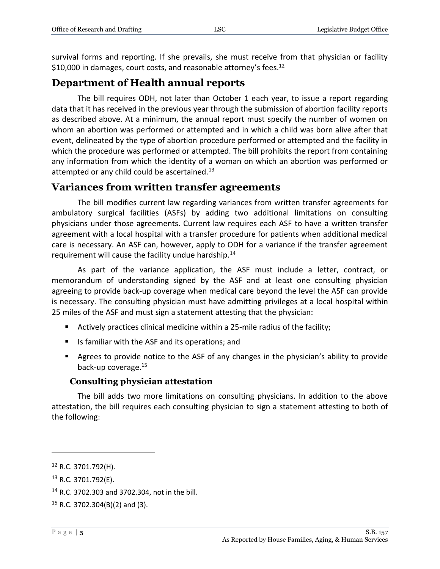survival forms and reporting. If she prevails, she must receive from that physician or facility \$10,000 in damages, court costs, and reasonable attorney's fees.<sup>12</sup>

#### **Department of Health annual reports**

The bill requires ODH, not later than October 1 each year, to issue a report regarding data that it has received in the previous year through the submission of abortion facility reports as described above. At a minimum, the annual report must specify the number of women on whom an abortion was performed or attempted and in which a child was born alive after that event, delineated by the type of abortion procedure performed or attempted and the facility in which the procedure was performed or attempted. The bill prohibits the report from containing any information from which the identity of a woman on which an abortion was performed or attempted or any child could be ascertained.<sup>13</sup>

#### **Variances from written transfer agreements**

The bill modifies current law regarding variances from written transfer agreements for ambulatory surgical facilities (ASFs) by adding two additional limitations on consulting physicians under those agreements. Current law requires each ASF to have a written transfer agreement with a local hospital with a transfer procedure for patients when additional medical care is necessary. An ASF can, however, apply to ODH for a variance if the transfer agreement requirement will cause the facility undue hardship.<sup>14</sup>

As part of the variance application, the ASF must include a letter, contract, or memorandum of understanding signed by the ASF and at least one consulting physician agreeing to provide back-up coverage when medical care beyond the level the ASF can provide is necessary. The consulting physician must have admitting privileges at a local hospital within 25 miles of the ASF and must sign a statement attesting that the physician:

- Actively practices clinical medicine within a 25-mile radius of the facility;
- Is familiar with the ASF and its operations; and
- Agrees to provide notice to the ASF of any changes in the physician's ability to provide back-up coverage.<sup>15</sup>

#### **Consulting physician attestation**

The bill adds two more limitations on consulting physicians. In addition to the above attestation, the bill requires each consulting physician to sign a statement attesting to both of the following:

 $\overline{a}$ 

<sup>12</sup> R.C. 3701.792(H).

 $13$  R.C. 3701.792(E).

<sup>14</sup> R.C. 3702.303 and 3702.304, not in the bill.

 $15$  R.C. 3702.304(B)(2) and (3).